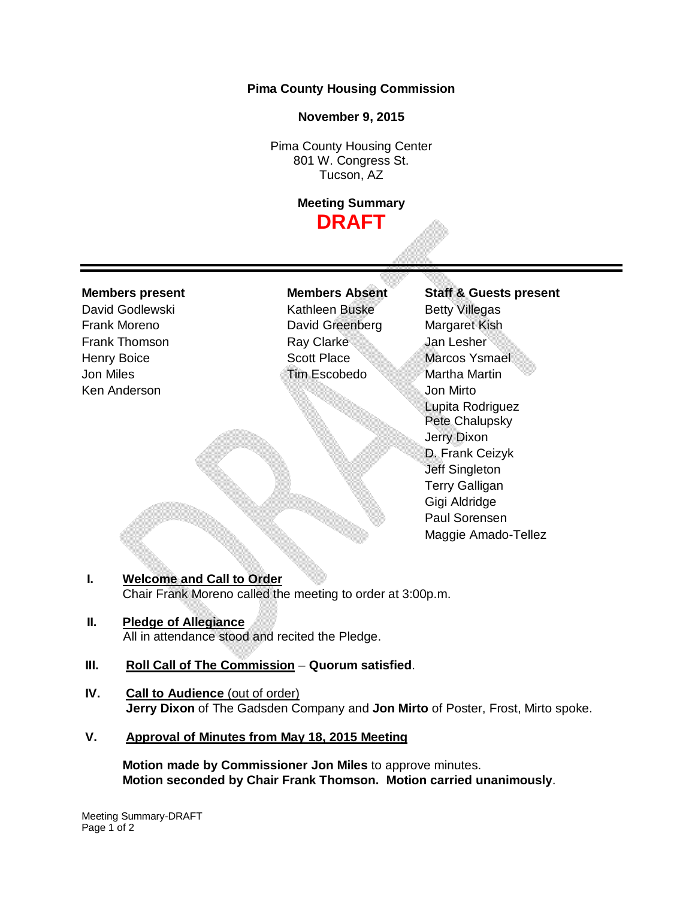## **Pima County Housing Commission**

### **November 9, 2015**

Pima County Housing Center 801 W. Congress St. Tucson, AZ

# **Meeting Summary DRAFT**

Ken Anderson Jon Mirto

David Godlewski Kathleen Buske Betty Villegas Frank Moreno **David Greenberg** Margaret Kish Frank Thomson **Ray Clarke** Jan Lesher Henry Boice Scott Place Marcos Ysmael Jon Miles Tim Escobedo Martha Martin

**Members present Members Absent Staff & Guests present** Lupita Rodriguez Pete Chalupsky Jerry Dixon D. Frank Ceizyk Jeff Singleton Terry Galligan Gigi Aldridge Paul Sorensen Maggie Amado-Tellez

## **I. Welcome and Call to Order**

Chair Frank Moreno called the meeting to order at 3:00p.m.

# **II. Pledge of Allegiance**

All in attendance stood and recited the Pledge.

## **III. Roll Call of The Commission** – **Quorum satisfied**.

- **IV. Call to Audience** (out of order) **Jerry Dixon** of The Gadsden Company and **Jon Mirto** of Poster, Frost, Mirto spoke.
- **V. Approval of Minutes from May 18, 2015 Meeting**

**Motion made by Commissioner Jon Miles** to approve minutes. **Motion seconded by Chair Frank Thomson. Motion carried unanimously**.